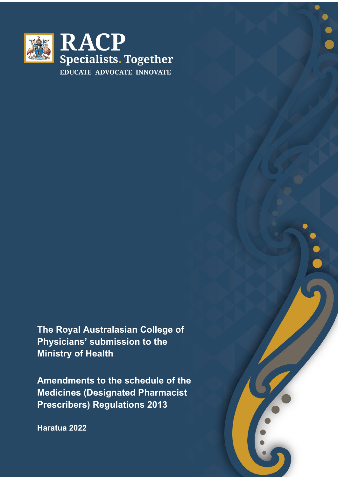

**The Royal Australasian College of Physicians' submission to the Ministry of Health**

**Amendments to the schedule of the Medicines (Designated Pharmacist Prescribers) Regulations 2013**

**Haratua 2022**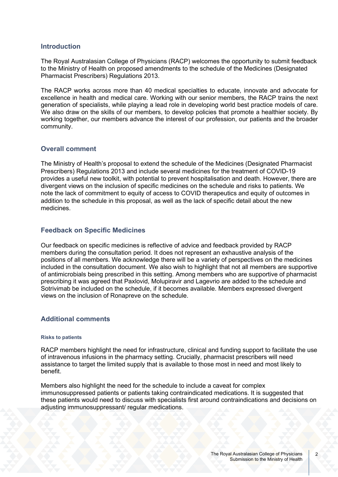### **Introduction**

The Royal Australasian College of Physicians (RACP) welcomes the opportunity to submit feedback to the Ministry of Health on proposed amendments to the schedule of the Medicines (Designated Pharmacist Prescribers) Regulations 2013.

The RACP works across more than 40 medical specialties to educate, innovate and advocate for excellence in health and medical care. Working with our senior members, the RACP trains the next generation of specialists, while playing a lead role in developing world best practice models of care. We also draw on the skills of our members, to develop policies that promote a healthier society. By working together, our members advance the interest of our profession, our patients and the broader community.

## **Overall comment**

The Ministry of Health's proposal to extend the schedule of the Medicines (Designated Pharmacist Prescribers) Regulations 2013 and include several medicines for the treatment of COVID-19 provides a useful new toolkit, with potential to prevent hospitalisation and death. However, there are divergent views on the inclusion of specific medicines on the schedule and risks to patients. We note the lack of commitment to equity of access to COVID therapeutics and equity of outcomes in addition to the schedule in this proposal, as well as the lack of specific detail about the new medicines.

# **Feedback on Specific Medicines**

Our feedback on specific medicines is reflective of advice and feedback provided by RACP members during the consultation period. It does not represent an exhaustive analysis of the positions of all members. We acknowledge there will be a variety of perspectives on the medicines included in the consultation document. We also wish to highlight that not all members are supportive of antimicrobials being prescribed in this setting. Among members who are supportive of pharmacist prescribing it was agreed that Paxlovid, Molupiravir and Lagevrio are added to the schedule and Sotrivimab be included on the schedule, if it becomes available. Members expressed divergent views on the inclusion of Ronapreve on the schedule.

## **Additional comments**

### **Risks to patients**

RACP members highlight the need for infrastructure, clinical and funding support to facilitate the use of intravenous infusions in the pharmacy setting. Crucially, pharmacist prescribers will need assistance to target the limited supply that is available to those most in need and most likely to benefit.

Members also highlight the need for the schedule to include a caveat for complex immunosuppressed patients or patients taking contraindicated medications. It is suggested that these patients would need to discuss with specialists first around contraindications and decisions on adjusting immunosuppressant/ regular medications.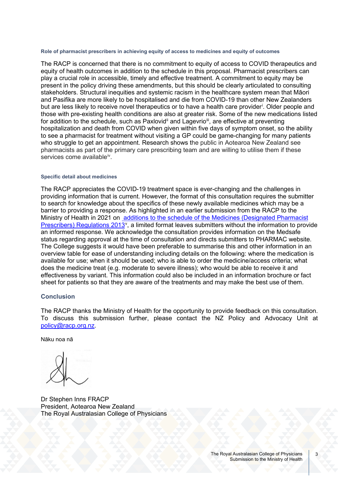#### **Role of pharmacist prescribers in achieving equity of access to medicines and equity of outcomes**

The RACP is concerned that there is no commitment to equity of access to COVID therapeutics and equity of health outcomes in addition to the schedule in this proposal. Pharmacist prescribers can play a crucial role in accessible, timely and effective treatment. A commitment to equity may be present in the policy driving these amendments, but this should be clearly articulated to consulting stakeholders. Structural inequities and systemic racism in the healthcare system mean that Māori and Pasifika are more likely to be hospitalised and die from COVID-19 than other New Zealanders but are less l[i](#page-3-0)kely to receive novel therapeutics or to have a health care provider<sup>i</sup>. Older people and those with pre-existing health conditions are also at greater risk. Some of the new medications listed for addition to the schedule, such as Paxlovid<sup>[ii](#page-3-1)</sup> and Lagevrio<sup>[iii](#page-3-2)</sup>, are effective at preventing hospitalization and death from COVID when given within five days of symptom onset, so the ability to see a pharmacist for treatment without visiting a GP could be game-changing for many patients who struggle to get an appointment. Research shows the public in Aotearoa New Zealand see pharmacists as part of the primary care prescribing team and are willing to utilise them if these services come available<sup>[iv](#page-3-3)</sup>.

#### **Specific detail about medicines**

The RACP appreciates the COVID-19 treatment space is ever-changing and the challenges in providing information that is current. However, the format of this consultation requires the submitter to search for knowledge about the specifics of these newly available medicines which may be a barrier to providing a response. As highlighted in an earlier submission from the RACP to the Ministry of Health in 2021 on [additions to the schedule of the Medicines \(Designated Pharmacist](https://www.racp.edu.au/docs/default-source/advocacy-library/racp-submission-to-the-ministry-of-health-on-amendments-to-the-schedule-of-the-medicines-designated-pharmacist-prescribers-regulations-2013.pdf?sfvrsn=20a7c51a_4)  [Prescribers\) Regulations 2013](https://www.racp.edu.au/docs/default-source/advocacy-library/racp-submission-to-the-ministry-of-health-on-amendments-to-the-schedule-of-the-medicines-designated-pharmacist-prescribers-regulations-2013.pdf?sfvrsn=20a7c51a_4)<sup>[v](#page-3-4)</sup>, a limited format leaves submitters without the information to provide an informed response. We acknowledge the consultation provides information on the Medsafe status regarding approval at the time of consultation and directs submitters to PHARMAC website. The College suggests it would have been preferable to summarise this and other information in an overview table for ease of understanding including details on the following: where the medication is available for use; when it should be used; who is able to order the medicine/access criteria; what does the medicine treat (e.g. moderate to severe illness); who would be able to receive it and effectiveness by variant. This information could also be included in an information brochure or fact sheet for patients so that they are aware of the treatments and may make the best use of them.

### **Conclusion**

The RACP thanks the Ministry of Health for the opportunity to provide feedback on this consultation. To discuss this submission further, please contact the NZ Policy and Advocacy Unit at [policy@racp.org.nz.](mailto:policy@racp.org.nz)

Nāku noa nā

Dr Stephen Inns FRACP President, Aotearoa New Zealand The Royal Australasian College of Physicians